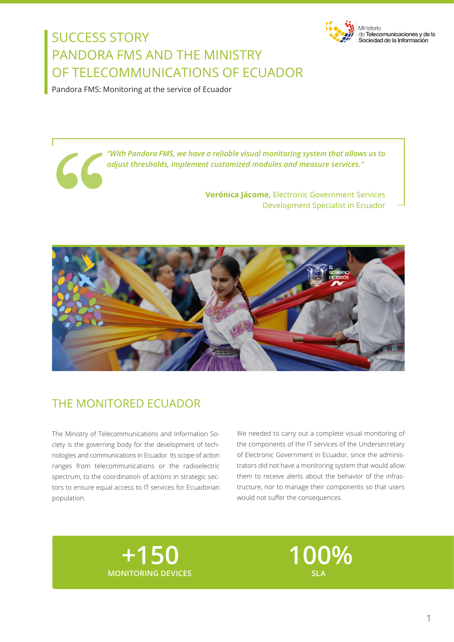

Ministerio de Telecomunicaciones y de la Sociedad de la Información

## SUCCESS STORY PANDORA FMS AND THE MINISTRY OF TELECOMMUNICATIONS OF ECUADOR

Pandora FMS: Monitoring at the service of Ecuador

*"With Pandora FMS, we have a reliable visual monitoring system that allows us to adjust thresholds, implement customized modules and measure services."*

> **Verónica Jácome,** Electronic Government Services Development Specialist in Ecuador



## THE MONITORED ECUADOR

The Ministry of Telecommunications and Information Society is the governing body for the development of technologies and communications in Ecuador. Its scope of action ranges from telecommunications or the radioelectric spectrum, to the coordination of actions in strategic sectors to ensure equal access to IT services for Ecuadorian population.

We needed to carry out a complete visual monitoring of the components of the IT services of the Undersecretary of Electronic Government in Ecuador, since the administrators did not have a monitoring system that would allow them to receive alerts about the behavior of the infrastructure, nor to manage their components so that users would not suffer the consequences.